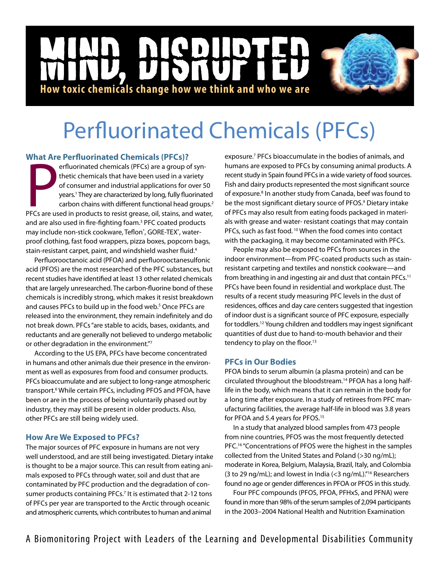## **NICD** D |<br>|<br>| **How toxic chemicals change how we think and who we are**

# Perfluorinated Chemicals (PFCs)

### **What Are Perfluorinated Chemicals (PFCs)?**

PFCs are used in products to resist grease, oil, stains, and water,<br>PFCs are used in a variety<br>of consumer and industrial applications for over 50<br>years.<sup>1</sup> They are characterized by long, fully fluorinated<br>carbon chains w erfluorinated chemicals (PFCs) are a group of synthetic chemicals that have been used in a variety of consumer and industrial applications for over 50 years.1 They are characterized by long, fully fluorinated carbon chains with different functional head groups.<sup>2</sup> and are also used in fire-fighting foam.<sup>3</sup> PFC coated products may include non-stick cookware, Teflon®, GORE-TEX®, waterproof clothing, fast food wrappers, pizza boxes, popcorn bags, stain-resistant carpet, paint, and windshield washer fluid.4

Perfluorooctanoic acid (PFOA) and perfluorooctanesulfonic acid (PFOS) are the most researched of the PFC substances, but recent studies have identified at least 13 other related chemicals that are largely unresearched. The carbon-fluorine bond of these chemicals is incredibly strong, which makes it resist breakdown and causes PFCs to build up in the food web.<sup>5</sup> Once PFCs are released into the environment, they remain indefinitely and do not break down. PFCs "are stable to acids, bases, oxidants, and reductants and are generally not believed to undergo metabolic or other degradation in the environment."7

According to the US EPA, PFCs have become concentrated in humans and other animals due their presence in the environment as well as exposures from food and consumer products. PFCs bioaccumulate and are subject to long-range atmospheric transport.<sup>6</sup> While certain PFCs, including PFOS and PFOA, have been or are in the process of being voluntarily phased out by industry, they may still be present in older products. Also, other PFCs are still being widely used.

## **How Are We Exposed to PFCs?**

The major sources of PFC exposure in humans are not very well understood, and are still being investigated. Dietary intake is thought to be a major source. This can result from eating animals exposed to PFCs through water, soil and dust that are contaminated by PFC production and the degradation of consumer products containing PFCs.<sup>7</sup> It is estimated that 2-12 tons of PFCs per year are transported to the Arctic through oceanic and atmospheric currents, which contributes to human and animal

exposure.<sup>7</sup> PFCs bioaccumulate in the bodies of animals, and humans are exposed to PFCs by consuming animal products. A recent study in Spain found PFCs in a wide variety of food sources. Fish and dairy products represented the most significant source of exposure.<sup>8</sup> In another study from Canada, beef was found to be the most significant dietary source of PFOS.<sup>9</sup> Dietary intake of PFCs may also result from eating foods packaged in materials with grease and water- resistant coatings that may contain PFCs, such as fast food.<sup>10</sup> When the food comes into contact with the packaging, it may become contaminated with PFCs.

People may also be exposed to PFCs from sources in the indoor environment—from PFC-coated products such as stainresistant carpeting and textiles and nonstick cookware—and from breathing in and ingesting air and dust that contain PFCs.11 PFCs have been found in residential and workplace dust. The results of a recent study measuring PFC levels in the dust of residences, offices and day care centers suggested that ingestion of indoor dust is a significant source of PFC exposure, especially for toddlers.12 Young children and toddlers may ingest significant quantities of dust due to hand-to-mouth behavior and their tendency to play on the floor.<sup>13</sup>

## **PFCs in Our Bodies**

PFOA binds to serum albumin (a plasma protein) and can be circulated throughout the bloodstream.14 PFOA has a long halflife in the body, which means that it can remain in the body for a long time after exposure. In a study of retirees from PFC manufacturing facilities, the average half-life in blood was 3.8 years for PFOA and 5.4 years for PFOS.15

In a study that analyzed blood samples from 473 people from nine countries, PFOS was the most frequently detected PFC.<sup>16</sup> "Concentrations of PFOS were the highest in the samples collected from the United States and Poland (>30 ng/mL); moderate in Korea, Belgium, Malaysia, Brazil, Italy, and Colombia (3 to 29 ng/mL); and lowest in India (<3 ng/mL)."16 Researchers found no age or gender differences in PFOA or PFOS in this study.

Four PFC compounds (PFOS, PFOA, PFHxS, and PFNA) were found in more than 98% of the serum samples of 2,094 participants in the 2003–2004 National Health and Nutrition Examination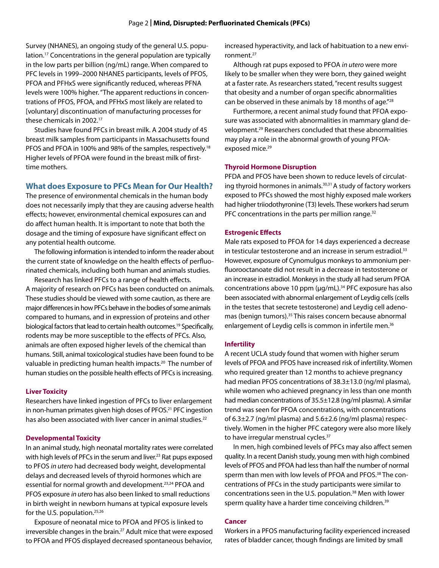Survey (NHANES), an ongoing study of the general U.S. population.17 Concentrations in the general population are typically in the low parts per billion (ng/mL) range. When compared to PFC levels in 1999–2000 NHANES participants, levels of PFOS, PFOA and PFHxS were significantly reduced, whereas PFNA levels were 100% higher. "The apparent reductions in concentrations of PFOS, PFOA, and PFHxS most likely are related to [voluntary] discontinuation of manufacturing processes for these chemicals in 2002.<sup>17</sup>

Studies have found PFCs in breast milk. A 2004 study of 45 breast milk samples from participants in Massachusetts found PFOS and PFOA in 100% and 98% of the samples, respectively.<sup>18</sup> Higher levels of PFOA were found in the breast milk of firsttime mothers.

#### **What does Exposure to PFCs Mean for Our Health?**

The presence of environmental chemicals in the human body does not necessarily imply that they are causing adverse health effects; however, environmental chemical exposures can and do affect human health. It is important to note that both the dosage and the timing of exposure have significant effect on any potential health outcome.

The following information is intended to inform the reader about the current state of knowledge on the health effects of perfluorinated chemicals, including both human and animals studies.

Research has linked PFCs to a range of health effects. A majority of research on PFCs has been conducted on animals. These studies should be viewed with some caution, as there are major differences in how PFCs behave in the bodies of some animals compared to humans, and in expression of proteins and other biological factors that lead to certain health outcomes.19 Specifically, rodents may be more susceptible to the effects of PFCs. Also, animals are often exposed higher levels of the chemical than humans. Still, animal toxicological studies have been found to be valuable in predicting human health impacts.<sup>20</sup> The number of human studies on the possible health effects of PFCs is increasing.

#### **Liver Toxicity**

Researchers have linked ingestion of PFCs to liver enlargement in non-human primates given high doses of PFOS.<sup>21</sup> PFC ingestion has also been associated with liver cancer in animal studies.<sup>22</sup>

#### **Developmental Toxicity**

In an animal study, high neonatal mortality rates were correlated with high levels of PFCs in the serum and liver.<sup>23</sup> Rat pups exposed to PFOS *in utero* had decreased body weight, developmental delays and decreased levels of thyroid hormones which are essential for normal growth and development.<sup>23,24</sup> PFOA and PFOS exposure *in utero* has also been linked to small reductions in birth weight in newborn humans at typical exposure levels for the U.S. population.<sup>25,26</sup>

Exposure of neonatal mice to PFOA and PFOS is linked to irreversible changes in the brain.<sup>27</sup> Adult mice that were exposed to PFOA and PFOS displayed decreased spontaneous behavior,

increased hyperactivity, and lack of habituation to a new environment.27

Although rat pups exposed to PFOA *in utero* were more likely to be smaller when they were born, they gained weight at a faster rate. As researchers stated, "recent results suggest that obesity and a number of organ specific abnormalities can be observed in these animals by 18 months of age."<sup>28</sup>

Furthermore, a recent animal study found that PFOA exposure was associated with abnormalities in mammary gland development.29 Researchers concluded that these abnormalities may play a role in the abnormal growth of young PFOAexposed mice.<sup>29</sup>

#### **Thyroid Hormone Disruption**

PFDA and PFOS have been shown to reduce levels of circulating thyroid hormones in animals.<sup>30,31</sup> A study of factory workers exposed to PFCs showed the most highly exposed male workers had higher triiodothyronine (T3) levels. These workers had serum PFC concentrations in the parts per million range. $32$ 

#### **Estrogenic Effects**

Male rats exposed to PFOA for 14 days experienced a decrease in testicular testosterone and an increase in serum estradiol.<sup>33</sup> However, exposure of Cynomulgus monkeys to ammonium perfluorooctanoate did not result in a decrease in testosterone or an increase in estradiol. Monkeys in the study all had serum PFOA concentrations above 10 ppm  $(\mu q/mL)$ .<sup>34</sup> PFC exposure has also been associated with abnormal enlargement of Leydig cells (cells in the testes that secrete testosterone) and Leydig cell adenomas (benign tumors).35 This raises concern because abnormal enlargement of Leydig cells is common in infertile men.<sup>36</sup>

#### **Infertility**

A recent UCLA study found that women with higher serum levels of PFOA and PFOS have increased risk of infertility. Women who required greater than 12 months to achieve pregnancy had median PFOS concentrations of 38.3±13.0 (ng/ml plasma), while women who achieved pregnancy in less than one month had median concentrations of 35.5±12.8 (ng/ml plasma). A similar trend was seen for PFOA concentrations, with concentrations of 6.3±2.7 (ng/ml plasma) and 5.6±2.6 (ng/ml plasma) respectively. Women in the higher PFC category were also more likely to have irregular menstrual cycles.<sup>37</sup>

In men, high combined levels of PFCs may also affect semen quality. In a recent Danish study, young men with high combined levels of PFOS and PFOA had less than half the number of normal sperm than men with low levels of PFOA and PFOS.<sup>38</sup> The concentrations of PFCs in the study participants were similar to concentrations seen in the U.S. population.<sup>38</sup> Men with lower sperm quality have a harder time conceiving children.<sup>39</sup>

#### **Cancer**

Workers in a PFOS manufacturing facility experienced increased rates of bladder cancer, though findings are limited by small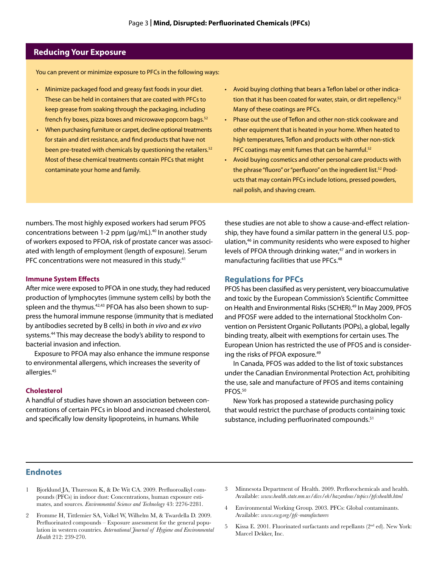#### **Reducing Your Exposure**

You can prevent or minimize exposure to PFCs in the following ways:

- Minimize packaged food and greasy fast foods in your diet. These can be held in containers that are coated with PFCs to keep grease from soaking through the packaging, including french fry boxes, pizza boxes and microwave popcorn bags.<sup>52</sup>
- When purchasing furniture or carpet, decline optional treatments for stain and dirt resistance, and find products that have not been pre-treated with chemicals by questioning the retailers.<sup>52</sup> Most of these chemical treatments contain PFCs that might contaminate your home and family.
- Avoid buying clothing that bears a Teflon label or other indication that it has been coated for water, stain, or dirt repellency.<sup>52</sup> Many of these coatings are PFCs.
- Phase out the use of Teflon and other non-stick cookware and other equipment that is heated in your home. When heated to high temperatures, Teflon and products with other non-stick PFC coatings may emit fumes that can be harmful.<sup>52</sup>
- • Avoid buying cosmetics and other personal care products with the phrase "fluoro" or "perfluoro" on the ingredient list.<sup>52</sup> Products that may contain PFCs include lotions, pressed powders, nail polish, and shaving cream.

numbers. The most highly exposed workers had serum PFOS concentrations between 1-2 ppm ( $\mu$ g/mL).<sup>40</sup> In another study of workers exposed to PFOA, risk of prostate cancer was associated with length of employment (length of exposure). Serum PFC concentrations were not measured in this study.<sup>41</sup>

#### **Immune System Effects**

After mice were exposed to PFOA in one study, they had reduced production of lymphocytes (immune system cells) by both the spleen and the thymus.<sup>42,43</sup> PFOA has also been shown to suppress the humoral immune response (immunity that is mediated by antibodies secreted by B cells) in both *in vivo* and *ex vivo*  systems.44 This may decrease the body's ability to respond to bacterial invasion and infection.

Exposure to PFOA may also enhance the immune response to environmental allergens, which increases the severity of allergies.45

#### **Cholesterol**

A handful of studies have shown an association between concentrations of certain PFCs in blood and increased cholesterol, and specifically low density lipoproteins, in humans. While

these studies are not able to show a cause-and-effect relationship, they have found a similar pattern in the general U.S. population,46 in community residents who were exposed to higher levels of PFOA through drinking water,<sup>47</sup> and in workers in manufacturing facilities that use PFCs.<sup>48</sup>

#### **Regulations for PFCs**

PFOS has been classified as very persistent, very bioaccumulative and toxic by the European Commission's Scientific Committee on Health and Environmental Risks (SCHER).<sup>49</sup> In May 2009, PFOS and PFOSF were added to the international Stockholm Convention on Persistent Organic Pollutants (POPs), a global, legally binding treaty, albeit with exemptions for certain uses. The European Union has restricted the use of PFOS and is considering the risks of PFOA exposure.49

In Canada, PFOS was added to the list of toxic substances under the Canadian Environmental Protection Act, prohibiting the use, sale and manufacture of PFOS and items containing PFOS.<sup>50</sup>

New York has proposed a statewide purchasing policy that would restrict the purchase of products containing toxic substance, including perfluorinated compounds.<sup>51</sup>

#### **Endnotes**

- 1 Bjorklund JA, Thuresson K, & De Wit CA. 2009. Perfluoroalkyl compounds (PFCs) in indoor dust: Concentrations, human exposure estimates, and sources. *Environmental Science and Technology* 43: 2276-2281.
- 2 Fromme H, Tittlemier SA, Volkel W, Wilhelm M, & Twardella D. 2009. Perfluorinated compounds – Exposure assessment for the general population in western countries. *International Journal of Hygiene and Environmental Health* 212: 239-270.
- 3 Minnesota Department of Health. 2009. Perflorochemicals and health. Available: *www.health.state.mn.us/divs/eh/hazardous/topics/pfcshealth.html*
- 4 Environmental Working Group. 2003. PFCs: Global contaminants. Available: *www.ewg.org/pfc-manufacturers*
- 5 Kissa E. 2001. Fluorinated surfactants and repellants  $(2<sup>nd</sup> ed)$ . New York: Marcel Dekker, Inc.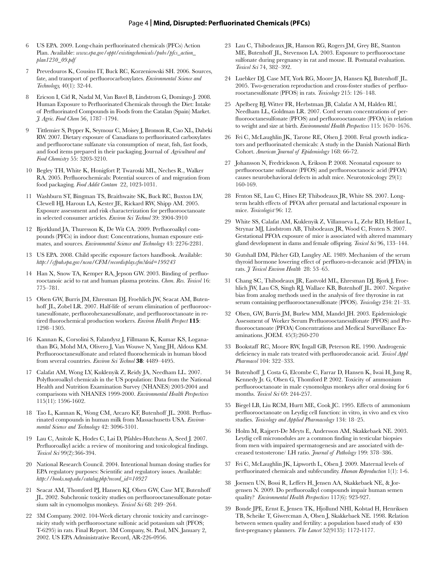#### Page 4 **| Mind, Disrupted: Perfluorinated Chemicals (PFCs)**

- 6 US EPA. 2009. Long-chain perfluorinated chemicals (PFCs) Action Plan. Available: *www.epa.gov/oppt/existingchemicals/pubs/pfcs\_action\_ plan1230\_09.pdf*
- 7 Prevedouros K, Cousins IT, Buck RC, Korzeniowski SH. 2006. Sources, fate, and transport of perfluorocarboxylates. *Environmental Science and Technology,* 40(1): 32-44.
- 8 Ericson I, Cid R, Nadal M, Van Bavel B, Lindstrom G, Domingo J. 2008. Human Exposure to Perfluorinated Chemicals through the Diet: Intake of Perfluorinated Compounds in Foods from the Catalan (Spain) Market. *J. Agric. Food Chem* 56, 1787–1794.
- 9 Tittlemier S, Pepper K, Seymour C, Moisey J, Bronson R, Cao XL, Dabeki RW. 2007. Dietary exposure of Canadians to perfluorinated carboxylates and perfluoroctane sulfanate via consumption of meat, fish, fast foods, and food items prepared in their packaging. Journal of *Agricultural and Food Chemistry* 55: 3203-3210.
- 10 Begley TH, White K, Honigfort P, Twaroski ML, Neches R., Walker RA. 2005. Perfluorochemicals: Potential sources of and migration from food packaging. *Food Addit Contam* 22, 1023-1031.
- 11 Washburn ST, Bingman TS, Braithwaite SK, Buck RC, Buxton LW, Clewell HJ, Haroun LA, Kester JE, Rickard RW, Shipp AM. 2005. Exposure assessment and risk characterization for perfluorooctanoate in selected consumer articles. *Environ Sci Technol* 39: 3904-3910
- 12 Bjorklund JA, Thuresson K, De Wit CA. 2009. Perfluoroalkyl compounds (PFCs) in indoor dust: Concentrations, human exposure estimates, and sources. *Environmental Science and Technology* 43: 2276-2281.
- 13 US EPA. 2008. Child specific exposure factors handbook. Available: *http://cfpub.epa.gov/ncea/CFM/recordisplay.cfm?deid=199243*
- 14 Han X, Snow TA, Kemper RA, Jepson GW. 2003. Binding of perfluorooctanoic acid to rat and human plasma proteins. *Chem. Res. Toxicol* 16: 775–781.
- 15 Olsen GW, Burris JM, Ehresman DJ, Froehlich JW, Seacat AM, Butenhoff JL, Zobel LR. 2007. Half-life of serum elimination of perfluorooctanesulfonate, perfluorohexanesulfonate, and perfluorooctanoate in retired fluorochemical production workers. *Environ Health Perspect* **115**: 1298–1305.
- 16 Kannan K, Corsolini S, Falandysz J, Fillmann K, Kumar KS, Loganathan BG, Mohd MA, Olivero J, Van Wouwe N, Yang JH, Aldous KM. Perfluorooctanesulfonate and related fluorochemicals in human blood from several countries. *Environ Sci Technol* **38**: 4489–4495.
- 17 Calafat AM, Wong LY, Kuklenyik Z, Reidy JA, Needham LL. 2007. Polyfluoroalkyl chemicals in the US population: Data from the National Health and Nutrition Examination Survey (NHANES) 2003-2004 and comparisons with NHANES 1999-2000. *Environmental Health Perspectives* 115(11): 1596-1602.
- 18 Tao L, Kannan K, Wong CM, Arcaro KF, Butenhoff JL. 2008. Perfluorinated compounds in human milk from Massachusetts USA. *Environmental Science and Technology* 42: 3096-3101.
- 19 Lau C, Anitole K, Hodes C, Lai D, Pfahles-Hutchens A, Seed J. 2007. Perfluoroalkyl acids: a review of monitoring and toxicological findings. *Toxicol Sci* 99(2):366-394.
- 20 National Research Council. 2004. Intentional human dosing studies for EPA regulatory purposes: Scientific and regulatory issues. Available: *http://books.nap.edu/catalog.php?record\_id=10927*
- 21 Seacat AM, Thomford PJ, Hansen KJ, Olsen GW, Case MT, Butenhoff JL. 2002. Subchronic toxicity studies on perfluorooctanesulfonate potassium salt in cynomolgus monkeys. *Toxicol Sci* 68: 249–264.
- 22 3M Company. 2002. 104-Week dietary chronic toxicity and carcinogenicity study with perfluorooctane sulfonic acid potassium salt (PFOS; T-6295) in rats. Final Report. 3M Company, St. Paul, MN. January 2, 2002. US EPA Administrative Record, AR-226-0956.
- 23 Lau C, Thibodeaux JR, Hanson RG, Rogers JM, Grey BE, Stanton ME, Butenhoff JL, Stevenson LA. 2003. Exposure to perfluorooctane sulfonate during pregnancy in rat and mouse. II. Postnatal evaluation. *Toxicol Sci* 74, 382–392.
- 24 Luebker DJ, Case MT, York RG, Moore JA, Hansen KJ, Butenhoff JL. 2005. Two-generation reproduction and cross-foster studies of perfluorooctanesulfonate (PFOS) in rats. *Toxicology* 215: 126–148.
- 25 Apelberg BJ, Witter FR, Herbstman JB, Calafat A M, Halden RU, Needham LL, Goldman LR. 2007. Cord serum concentrations of perfluorooctanesulfonate (PFOS) and perfluorooctanoate (PFOA) in relation to weight and size at birth. *Environmental Health Perspectives* 115: 1670–1676.
- 26 Fei C, McLaughlin JK, Tarone RE, Olsen J. 2008. Fetal growth indicators and perfluorinated chemicals: A study in the Danish National Birth Cohort. *American Journal of Epidemiology* 168: 66-72.
- 27 Johansson N, Fredricksson A, Erikson P. 2008. Neonatal exposure to perfluorooctane sulfonate (PFOS) and perfluorooctanocic acid (PFOA) causes neurobehavioral defects in adult mice. Neurotoxicology 29(1): 160-169.
- 28 Fenton SE, Lau C, Hines EP, Thibodeaux JR, White SS. 2007. Longterm health effects of PFOA after prenatal and lactational exposure in mice. *Toxicologist* 96: 12.
- 29 White SS, Calafat AM, Kuklenyik Z, Villanueva L, Zehr RD, Helfant L, Strynar MJ, Lindstrom AB, Thibodeaux JR, Wood C, Fenten S. 2007. Gestational PFOA exposure of mice is associated with altered mammary gland development in dams and female offspring. *Toxicol Sci* 96, 133–144.
- 30 Gutshall DM, Pilcher GD, Langley AE. 1989. Mechanism of the serum thyroid hormone lowering effect of perfluoro-n-decanoic acid (PFDA) in rats. *J Toxicol Environ Health* 28: 53–65.
- 31 Chang SC, Thibodeaux JR, Eastvold ML, Ehresman DJ, Bjork J, Froehlich JW, Lau CS, Singh RJ, Wallace KB, Butenhoff JL. 2007. Negative bias from analog methods used in the analysis of free thyroxine in rat serum containing perfluorooctanesulfonate (PFOS). *Toxicology* 234: 21–33.
- 32 Olsen, GW, Burris JM, Burlew MM, Mandel JH. 2003. Epidemiologic Assessment of Worker Serum Perfluorooctanesulfonate (PFOS) and Perfluorooctanoate (PFOA) Concentrations and Medical Surveillance Examinations. JOEM. 45(3):260-270
- 33 Bookstaff RC, Moore RW, Ingall GB, Peterson RE. 1990. Androgenic deficiency in male rats treated with perfluorodecanoic acid. *Toxicol Appl Pharmacol* 104: 322–333.
- 34 Butenhoff J, Costa G, Elcombe C, Farrar D, Hansen K, Iwai H, Jung R, Kennedy Jr. G, Olsen G, Thomford P. 2002. Toxicity of ammonium perfluorooctanoate in male cynomolgus monkeys after oral dosing for 6 months. *Toxicol Sci* 69: 244-257.
- 35 Biegel LB, Liu RCM, Hurtt ME, Cook JC. 1995. Effects of ammonium perfluorooctanoate on Leydig cell function: in vitro, in vivo and ex vivo studies. *Toxicology and Applied Pharmacology* 134: 18–25.
- 36 Holm M, Rajpert-De Meyts E, Andersson AM, Skakkebaek NE. 2003. Leydig cell micronodules are a common finding in testicular biopsies from men with impaired spermatogenesis and are associated with decreased testosterone⁄ LH ratio. *Journal of Pathology* 199: 378–386.
- 37 Fei C, McLaughlin JK, Lipworth L, Olsen J. 2009. Maternal levels of perfluorinated chemicals and subfecundity. *Human Reproduction* 1(1): 1-6.
- 38 Joensen UN, Bossi R, Leffers H, Jensen AA, Skakkebaek NE, & Jorgensen N. 2009. Do perfluoroalkyl compounds impair human semen quality? *Environmental Health Perspectives* 117(6): 923-927.
- 39 Bonde JPE, Ernst E, Jensen TK, Hjollund NHI, Kolstad H, Henriksen TB, Scheike T, Giwercman A, Olsen J, Skakkebaek NE. 1998. Relation between semen quality and fertility: a population based study of 430 first-pregnancy planners. *The Lancet* 52(9135): 1172-1177.